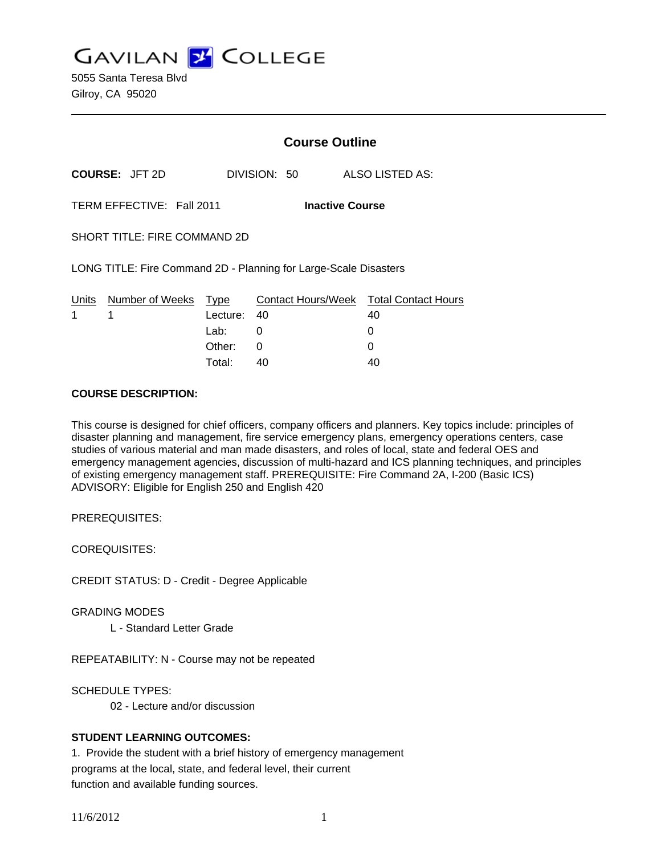**GAVILAN Z COLLEGE** 

5055 Santa Teresa Blvd Gilroy, CA 95020

|                                                                  |                       | <b>Course Outline</b> |              |                                        |
|------------------------------------------------------------------|-----------------------|-----------------------|--------------|----------------------------------------|
|                                                                  | <b>COURSE: JFT 2D</b> |                       | DIVISION: 50 | ALSO LISTED AS:                        |
| TERM EFFECTIVE: Fall 2011<br><b>Inactive Course</b>              |                       |                       |              |                                        |
| SHORT TITLE: FIRE COMMAND 2D                                     |                       |                       |              |                                        |
| LONG TITLE: Fire Command 2D - Planning for Large-Scale Disasters |                       |                       |              |                                        |
| Units                                                            | Number of Weeks       | Type                  |              | Contact Hours/Week Total Contact Hours |
| 1                                                                | 1                     | Lecture:              | 40           | 40                                     |
|                                                                  |                       | Lab:                  | 0            | 0                                      |
|                                                                  |                       | Other:                | 0            | 0                                      |
|                                                                  |                       | Total:                | 40           | 40                                     |

#### **COURSE DESCRIPTION:**

This course is designed for chief officers, company officers and planners. Key topics include: principles of disaster planning and management, fire service emergency plans, emergency operations centers, case studies of various material and man made disasters, and roles of local, state and federal OES and emergency management agencies, discussion of multi-hazard and ICS planning techniques, and principles of existing emergency management staff. PREREQUISITE: Fire Command 2A, I-200 (Basic ICS) ADVISORY: Eligible for English 250 and English 420

PREREQUISITES:

COREQUISITES:

CREDIT STATUS: D - Credit - Degree Applicable

GRADING MODES

L - Standard Letter Grade

REPEATABILITY: N - Course may not be repeated

SCHEDULE TYPES:

02 - Lecture and/or discussion

### **STUDENT LEARNING OUTCOMES:**

1. Provide the student with a brief history of emergency management programs at the local, state, and federal level, their current function and available funding sources.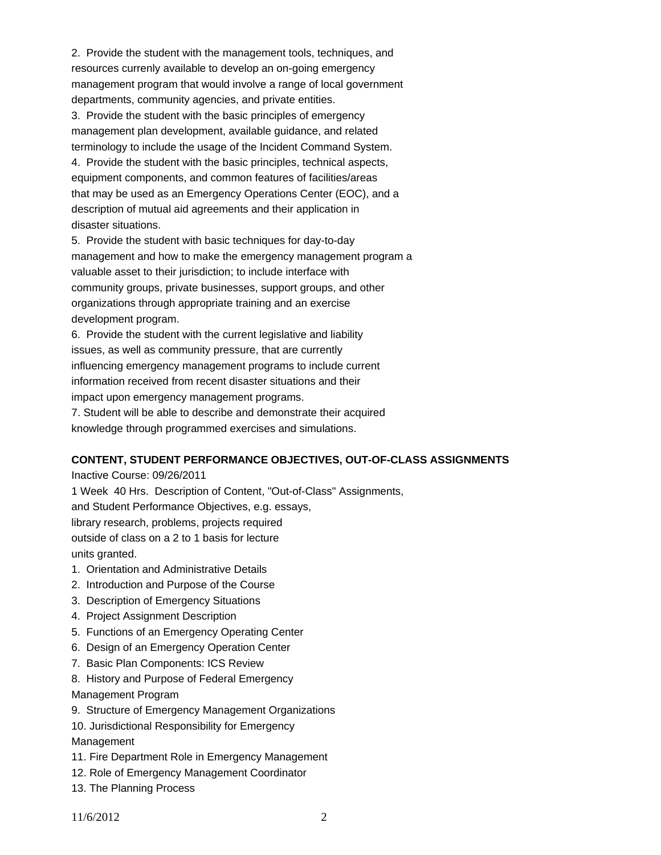2. Provide the student with the management tools, techniques, and resources currenly available to develop an on-going emergency management program that would involve a range of local government departments, community agencies, and private entities.

3. Provide the student with the basic principles of emergency management plan development, available guidance, and related terminology to include the usage of the Incident Command System. 4. Provide the student with the basic principles, technical aspects,

equipment components, and common features of facilities/areas that may be used as an Emergency Operations Center (EOC), and a description of mutual aid agreements and their application in disaster situations.

5. Provide the student with basic techniques for day-to-day management and how to make the emergency management program a valuable asset to their jurisdiction; to include interface with community groups, private businesses, support groups, and other organizations through appropriate training and an exercise development program.

6. Provide the student with the current legislative and liability issues, as well as community pressure, that are currently influencing emergency management programs to include current information received from recent disaster situations and their impact upon emergency management programs.

7. Student will be able to describe and demonstrate their acquired knowledge through programmed exercises and simulations.

# **CONTENT, STUDENT PERFORMANCE OBJECTIVES, OUT-OF-CLASS ASSIGNMENTS**

Inactive Course: 09/26/2011

1 Week 40 Hrs. Description of Content, "Out-of-Class" Assignments, and Student Performance Objectives, e.g. essays, library research, problems, projects required outside of class on a 2 to 1 basis for lecture units granted.

- 1. Orientation and Administrative Details
- 2. Introduction and Purpose of the Course
- 3. Description of Emergency Situations
- 4. Project Assignment Description
- 5. Functions of an Emergency Operating Center
- 6. Design of an Emergency Operation Center
- 7. Basic Plan Components: ICS Review
- 8. History and Purpose of Federal Emergency

Management Program

9. Structure of Emergency Management Organizations

10. Jurisdictional Responsibility for Emergency

Management

- 11. Fire Department Role in Emergency Management
- 12. Role of Emergency Management Coordinator
- 13. The Planning Process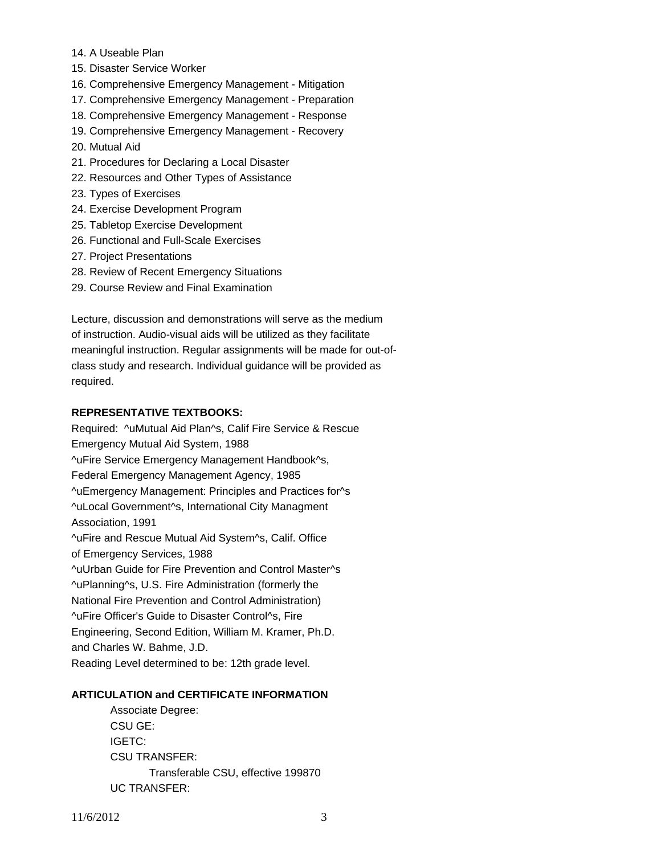- 14. A Useable Plan
- 15. Disaster Service Worker
- 16. Comprehensive Emergency Management Mitigation
- 17. Comprehensive Emergency Management Preparation
- 18. Comprehensive Emergency Management Response
- 19. Comprehensive Emergency Management Recovery
- 20. Mutual Aid
- 21. Procedures for Declaring a Local Disaster
- 22. Resources and Other Types of Assistance
- 23. Types of Exercises
- 24. Exercise Development Program
- 25. Tabletop Exercise Development
- 26. Functional and Full-Scale Exercises
- 27. Project Presentations
- 28. Review of Recent Emergency Situations
- 29. Course Review and Final Examination

Lecture, discussion and demonstrations will serve as the medium of instruction. Audio-visual aids will be utilized as they facilitate meaningful instruction. Regular assignments will be made for out-ofclass study and research. Individual guidance will be provided as required.

## **REPRESENTATIVE TEXTBOOKS:**

Required: ^uMutual Aid Plan^s, Calif Fire Service & Rescue Emergency Mutual Aid System, 1988 ^uFire Service Emergency Management Handbook^s, Federal Emergency Management Agency, 1985 ^uEmergency Management: Principles and Practices for^s ^uLocal Government^s, International City Managment Association, 1991 ^uFire and Rescue Mutual Aid System^s, Calif. Office of Emergency Services, 1988 ^uUrban Guide for Fire Prevention and Control Master^s ^uPlanning^s, U.S. Fire Administration (formerly the National Fire Prevention and Control Administration) ^uFire Officer's Guide to Disaster Control^s, Fire Engineering, Second Edition, William M. Kramer, Ph.D. and Charles W. Bahme, J.D. Reading Level determined to be: 12th grade level.

### **ARTICULATION and CERTIFICATE INFORMATION**

 Associate Degree: CSU GE: IGETC: CSU TRANSFER: Transferable CSU, effective 199870 UC TRANSFER: